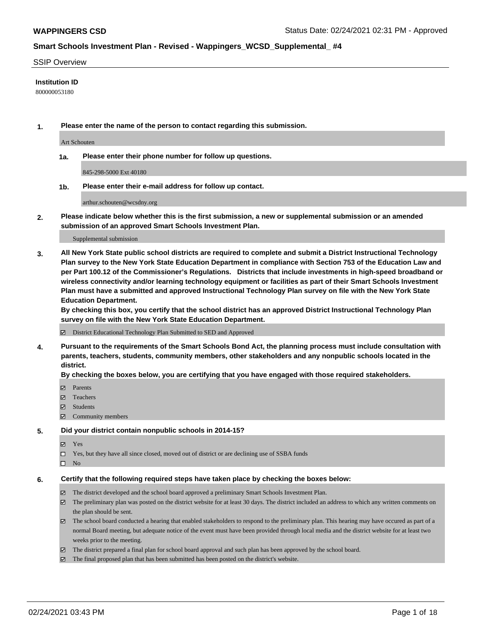#### SSIP Overview

#### **Institution ID**

800000053180

**1. Please enter the name of the person to contact regarding this submission.**

Art Schouten

**1a. Please enter their phone number for follow up questions.**

845-298-5000 Ext 40180

**1b. Please enter their e-mail address for follow up contact.**

arthur.schouten@wcsdny.org

**2. Please indicate below whether this is the first submission, a new or supplemental submission or an amended submission of an approved Smart Schools Investment Plan.**

#### Supplemental submission

**3. All New York State public school districts are required to complete and submit a District Instructional Technology Plan survey to the New York State Education Department in compliance with Section 753 of the Education Law and per Part 100.12 of the Commissioner's Regulations. Districts that include investments in high-speed broadband or wireless connectivity and/or learning technology equipment or facilities as part of their Smart Schools Investment Plan must have a submitted and approved Instructional Technology Plan survey on file with the New York State Education Department.** 

**By checking this box, you certify that the school district has an approved District Instructional Technology Plan survey on file with the New York State Education Department.**

District Educational Technology Plan Submitted to SED and Approved

**4. Pursuant to the requirements of the Smart Schools Bond Act, the planning process must include consultation with parents, teachers, students, community members, other stakeholders and any nonpublic schools located in the district.** 

#### **By checking the boxes below, you are certifying that you have engaged with those required stakeholders.**

- **Ø** Parents
- Teachers
- Students
- $\Xi$  Community members

#### **5. Did your district contain nonpublic schools in 2014-15?**

- Yes
- □ Yes, but they have all since closed, moved out of district or are declining use of SSBA funds
- $\hfill \square$  No

#### **6. Certify that the following required steps have taken place by checking the boxes below:**

- The district developed and the school board approved a preliminary Smart Schools Investment Plan.
- The preliminary plan was posted on the district website for at least 30 days. The district included an address to which any written comments on the plan should be sent.
- The school board conducted a hearing that enabled stakeholders to respond to the preliminary plan. This hearing may have occured as part of a normal Board meeting, but adequate notice of the event must have been provided through local media and the district website for at least two weeks prior to the meeting.
- The district prepared a final plan for school board approval and such plan has been approved by the school board.
- $\boxtimes$  The final proposed plan that has been submitted has been posted on the district's website.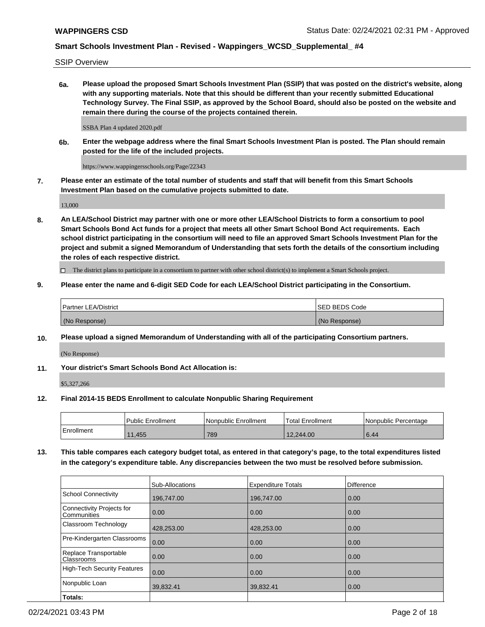SSIP Overview

**6a. Please upload the proposed Smart Schools Investment Plan (SSIP) that was posted on the district's website, along with any supporting materials. Note that this should be different than your recently submitted Educational Technology Survey. The Final SSIP, as approved by the School Board, should also be posted on the website and remain there during the course of the projects contained therein.**

SSBA Plan 4 updated 2020.pdf

**6b. Enter the webpage address where the final Smart Schools Investment Plan is posted. The Plan should remain posted for the life of the included projects.**

https://www.wappingersschools.org/Page/22343

**7. Please enter an estimate of the total number of students and staff that will benefit from this Smart Schools Investment Plan based on the cumulative projects submitted to date.**

13,000

**8. An LEA/School District may partner with one or more other LEA/School Districts to form a consortium to pool Smart Schools Bond Act funds for a project that meets all other Smart School Bond Act requirements. Each school district participating in the consortium will need to file an approved Smart Schools Investment Plan for the project and submit a signed Memorandum of Understanding that sets forth the details of the consortium including the roles of each respective district.**

 $\Box$  The district plans to participate in a consortium to partner with other school district(s) to implement a Smart Schools project.

### **9. Please enter the name and 6-digit SED Code for each LEA/School District participating in the Consortium.**

| <b>Partner LEA/District</b> |  | ISED BEDS Code |
|-----------------------------|--|----------------|
| (No Response)               |  | (No Response)  |

#### **10. Please upload a signed Memorandum of Understanding with all of the participating Consortium partners.**

(No Response)

**11. Your district's Smart Schools Bond Act Allocation is:**

\$5,327,266

#### **12. Final 2014-15 BEDS Enrollment to calculate Nonpublic Sharing Requirement**

|            | Public Enrollment | Nonpublic Enrollment | Total Enrollment | I Nonpublic Percentage |
|------------|-------------------|----------------------|------------------|------------------------|
| Enrollment | 11.455            | 789                  | 12,244.00        | 6.44                   |

**13. This table compares each category budget total, as entered in that category's page, to the total expenditures listed in the category's expenditure table. Any discrepancies between the two must be resolved before submission.**

|                                          | Sub-Allocations | <b>Expenditure Totals</b> | Difference |
|------------------------------------------|-----------------|---------------------------|------------|
| <b>School Connectivity</b>               | 196.747.00      | 196.747.00                | 0.00       |
| Connectivity Projects for<br>Communities | 0.00            | 0.00                      | 0.00       |
| Classroom Technology                     | 428,253.00      | 428,253.00                | 0.00       |
| Pre-Kindergarten Classrooms              | 0.00            | 0.00                      | 0.00       |
| Replace Transportable<br>Classrooms      | 0.00            | 0.00                      | 0.00       |
| <b>High-Tech Security Features</b>       | 0.00            | 0.00                      | 0.00       |
| Nonpublic Loan                           | 39,832.41       | 39,832.41                 | 0.00       |
| Totals:                                  |                 |                           |            |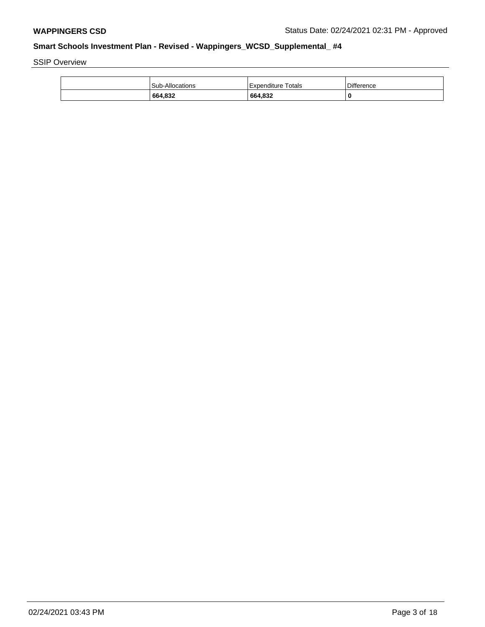SSIP Overview

| 664,832                | 664,832            | 0          |
|------------------------|--------------------|------------|
| <b>Sub-Allocations</b> | Expenditure Totals | Difference |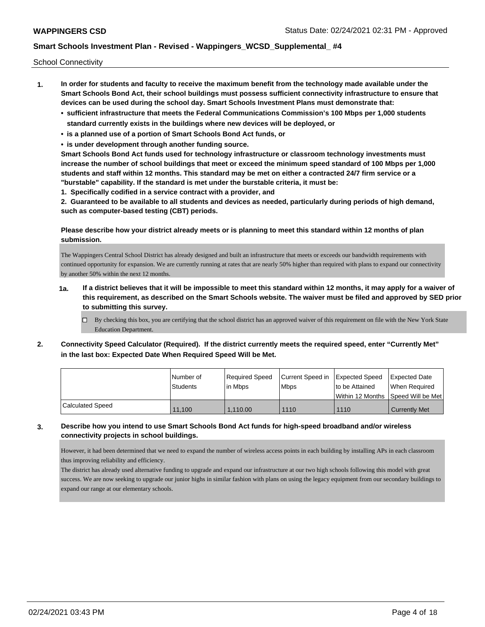School Connectivity

- **1. In order for students and faculty to receive the maximum benefit from the technology made available under the Smart Schools Bond Act, their school buildings must possess sufficient connectivity infrastructure to ensure that devices can be used during the school day. Smart Schools Investment Plans must demonstrate that:**
	- **• sufficient infrastructure that meets the Federal Communications Commission's 100 Mbps per 1,000 students standard currently exists in the buildings where new devices will be deployed, or**
	- **• is a planned use of a portion of Smart Schools Bond Act funds, or**
	- **• is under development through another funding source.**

**Smart Schools Bond Act funds used for technology infrastructure or classroom technology investments must increase the number of school buildings that meet or exceed the minimum speed standard of 100 Mbps per 1,000 students and staff within 12 months. This standard may be met on either a contracted 24/7 firm service or a "burstable" capability. If the standard is met under the burstable criteria, it must be:**

**1. Specifically codified in a service contract with a provider, and**

**2. Guaranteed to be available to all students and devices as needed, particularly during periods of high demand, such as computer-based testing (CBT) periods.**

### **Please describe how your district already meets or is planning to meet this standard within 12 months of plan submission.**

The Wappingers Central School District has already designed and built an infrastructure that meets or exceeds our bandwidth requirements with continued opportunity for expansion. We are currently running at rates that are nearly 50% higher than required with plans to expand our connectivity by another 50% within the next 12 months.

- **1a. If a district believes that it will be impossible to meet this standard within 12 months, it may apply for a waiver of this requirement, as described on the Smart Schools website. The waiver must be filed and approved by SED prior to submitting this survey.**
	- $\Box$  By checking this box, you are certifying that the school district has an approved waiver of this requirement on file with the New York State Education Department.
- **2. Connectivity Speed Calculator (Required). If the district currently meets the required speed, enter "Currently Met" in the last box: Expected Date When Required Speed Will be Met.**

|                  | l Number of     | Required Speed | Current Speed in   Expected Speed |                                      | <b>Expected Date</b> |
|------------------|-----------------|----------------|-----------------------------------|--------------------------------------|----------------------|
|                  | <b>Students</b> | l in Mbps      | <b>Mbps</b>                       | to be Attained                       | When Reauired        |
|                  |                 |                |                                   | Within 12 Months   Speed Will be Met |                      |
| Calculated Speed | 11.100          | 1.110.00       | 1110                              | 1110                                 | <b>Currently Met</b> |

### **3. Describe how you intend to use Smart Schools Bond Act funds for high-speed broadband and/or wireless connectivity projects in school buildings.**

However, it had been determined that we need to expand the number of wireless access points in each building by installing APs in each classroom thus improving reliability and efficiency.

The district has already used alternative funding to upgrade and expand our infrastructure at our two high schools following this model with great success. We are now seeking to upgrade our junior highs in similar fashion with plans on using the legacy equipment from our secondary buildings to expand our range at our elementary schools.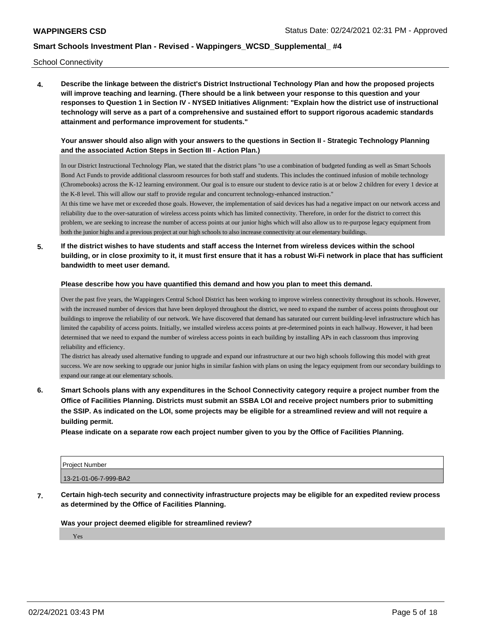School Connectivity

**4. Describe the linkage between the district's District Instructional Technology Plan and how the proposed projects will improve teaching and learning. (There should be a link between your response to this question and your responses to Question 1 in Section IV - NYSED Initiatives Alignment: "Explain how the district use of instructional technology will serve as a part of a comprehensive and sustained effort to support rigorous academic standards attainment and performance improvement for students."** 

### **Your answer should also align with your answers to the questions in Section II - Strategic Technology Planning and the associated Action Steps in Section III - Action Plan.)**

In our District Instructional Technology Plan, we stated that the district plans "to use a combination of budgeted funding as well as Smart Schools Bond Act Funds to provide additional classroom resources for both staff and students. This includes the continued infusion of mobile technology (Chromebooks) across the K-12 learning environment. Our goal is to ensure our student to device ratio is at or below 2 children for every 1 device at the K-8 level. This will allow our staff to provide regular and concurrent technology-enhanced instruction."

At this time we have met or exceeded those goals. However, the implementation of said devices has had a negative impact on our network access and reliability due to the over-saturation of wireless access points which has limited connectivity. Therefore, in order for the district to correct this problem, we are seeking to increase the number of access points at our junior highs which will also allow us to re-purpose legacy equipment from both the junior highs and a previous project at our high schools to also increase connectivity at our elementary buildings.

**5. If the district wishes to have students and staff access the Internet from wireless devices within the school building, or in close proximity to it, it must first ensure that it has a robust Wi-Fi network in place that has sufficient bandwidth to meet user demand.**

#### **Please describe how you have quantified this demand and how you plan to meet this demand.**

Over the past five years, the Wappingers Central School District has been working to improve wireless connectivity throughout its schools. However, with the increased number of devices that have been deployed throughout the district, we need to expand the number of access points throughout our buildings to improve the reliability of our network. We have discovered that demand has saturated our current building-level infrastructure which has limited the capability of access points. Initially, we installed wireless access points at pre-determined points in each hallway. However, it had been determined that we need to expand the number of wireless access points in each building by installing APs in each classroom thus improving reliability and efficiency.

The district has already used alternative funding to upgrade and expand our infrastructure at our two high schools following this model with great success. We are now seeking to upgrade our junior highs in similar fashion with plans on using the legacy equipment from our secondary buildings to expand our range at our elementary schools.

**6. Smart Schools plans with any expenditures in the School Connectivity category require a project number from the Office of Facilities Planning. Districts must submit an SSBA LOI and receive project numbers prior to submitting the SSIP. As indicated on the LOI, some projects may be eligible for a streamlined review and will not require a building permit.**

**Please indicate on a separate row each project number given to you by the Office of Facilities Planning.**

| <b>Project Number</b> |  |
|-----------------------|--|
| 13-21-01-06-7-999-BA2 |  |

**7. Certain high-tech security and connectivity infrastructure projects may be eligible for an expedited review process as determined by the Office of Facilities Planning.**

#### **Was your project deemed eligible for streamlined review?**

Yes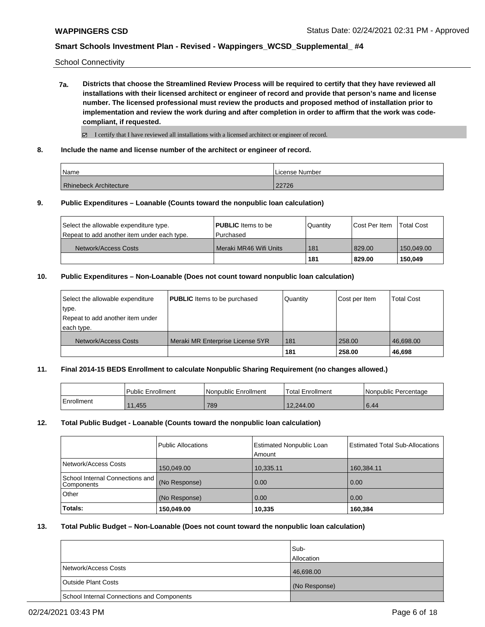School Connectivity

**7a. Districts that choose the Streamlined Review Process will be required to certify that they have reviewed all installations with their licensed architect or engineer of record and provide that person's name and license number. The licensed professional must review the products and proposed method of installation prior to implementation and review the work during and after completion in order to affirm that the work was codecompliant, if requested.**

 $\boxtimes$  I certify that I have reviewed all installations with a licensed architect or engineer of record.

**8. Include the name and license number of the architect or engineer of record.**

| Name                          | License Number |
|-------------------------------|----------------|
| <b>Rhinebeck Architecture</b> | 22726          |

#### **9. Public Expenditures – Loanable (Counts toward the nonpublic loan calculation)**

| Select the allowable expenditure type.      | <b>PUBLIC</b> Items to be | Quantity | <b>Cost Per Item</b> | <b>Total Cost</b> |
|---------------------------------------------|---------------------------|----------|----------------------|-------------------|
| Repeat to add another item under each type. | l Purchased               |          |                      |                   |
| Network/Access Costs                        | Meraki MR46 Wifi Units    | 181      | 829.00               | 150.049.00        |
|                                             |                           | 181      | 829.00               | 150.049           |

#### **10. Public Expenditures – Non-Loanable (Does not count toward nonpublic loan calculation)**

| Select the allowable expenditure | <b>PUBLIC</b> Items to be purchased | l Quantitv | Cost per Item | <b>Total Cost</b> |
|----------------------------------|-------------------------------------|------------|---------------|-------------------|
| type.                            |                                     |            |               |                   |
| Repeat to add another item under |                                     |            |               |                   |
| each type.                       |                                     |            |               |                   |
| Network/Access Costs             | Meraki MR Enterprise License 5YR    | 181        | 258.00        | 46.698.00         |
|                                  |                                     | 181        | 258.00        | 46,698            |

#### **11. Final 2014-15 BEDS Enrollment to calculate Nonpublic Sharing Requirement (no changes allowed.)**

|            | <b>Public Enrollment</b> | l Nonpublic Enrollment | <b>Total Enrollment</b> | l Nonpublic Percentage |
|------------|--------------------------|------------------------|-------------------------|------------------------|
| Enrollment | 11,455                   | 789                    | 12.244.00               | 6.44                   |

#### **12. Total Public Budget - Loanable (Counts toward the nonpublic loan calculation)**

|                                                  | <b>Public Allocations</b> | <b>Estimated Nonpublic Loan</b><br>Amount | <b>Estimated Total Sub-Allocations</b> |
|--------------------------------------------------|---------------------------|-------------------------------------------|----------------------------------------|
| Network/Access Costs                             | 150,049.00                | 10,335.11                                 | 160,384.11                             |
| School Internal Connections and   <br>Components | (No Response)             | 0.00                                      | 0.00                                   |
| Other                                            | (No Response)             | 0.00                                      | 0.00                                   |
| Totals:                                          | 150,049.00                | 10,335                                    | 160,384                                |

#### **13. Total Public Budget – Non-Loanable (Does not count toward the nonpublic loan calculation)**

|                                            | Sub-<br><b>Allocation</b> |
|--------------------------------------------|---------------------------|
| Network/Access Costs                       | 46,698.00                 |
| <b>Outside Plant Costs</b>                 | (No Response)             |
| School Internal Connections and Components |                           |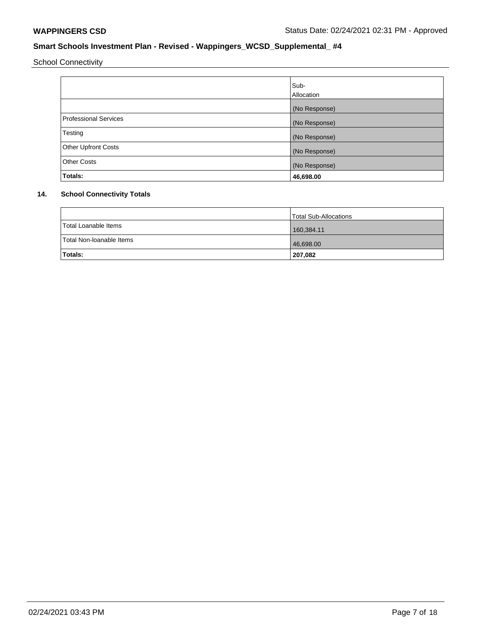School Connectivity

|                            | Sub-<br>Allocation |
|----------------------------|--------------------|
|                            | (No Response)      |
| Professional Services      | (No Response)      |
| Testing                    | (No Response)      |
| <b>Other Upfront Costs</b> | (No Response)      |
| <b>Other Costs</b>         | (No Response)      |
| Totals:                    | 46,698.00          |

# **14. School Connectivity Totals**

|                          | <b>Total Sub-Allocations</b> |
|--------------------------|------------------------------|
| Total Loanable Items     | 160,384.11                   |
| Total Non-Ioanable Items | 46,698.00                    |
| Totals:                  | 207,082                      |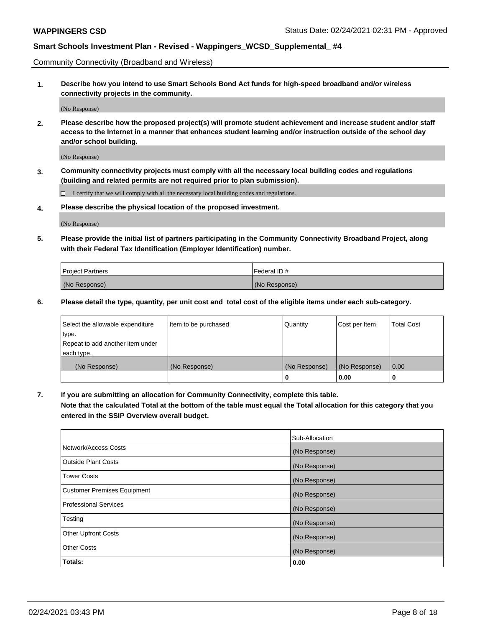Community Connectivity (Broadband and Wireless)

**1. Describe how you intend to use Smart Schools Bond Act funds for high-speed broadband and/or wireless connectivity projects in the community.**

(No Response)

**2. Please describe how the proposed project(s) will promote student achievement and increase student and/or staff access to the Internet in a manner that enhances student learning and/or instruction outside of the school day and/or school building.**

(No Response)

**3. Community connectivity projects must comply with all the necessary local building codes and regulations (building and related permits are not required prior to plan submission).**

 $\Box$  I certify that we will comply with all the necessary local building codes and regulations.

**4. Please describe the physical location of the proposed investment.**

(No Response)

**5. Please provide the initial list of partners participating in the Community Connectivity Broadband Project, along with their Federal Tax Identification (Employer Identification) number.**

| <b>Project Partners</b> | l Federal ID # |
|-------------------------|----------------|
| (No Response)           | (No Response)  |

**6. Please detail the type, quantity, per unit cost and total cost of the eligible items under each sub-category.**

| Select the allowable expenditure | Item to be purchased | Quantity      | Cost per Item | <b>Total Cost</b> |
|----------------------------------|----------------------|---------------|---------------|-------------------|
| type.                            |                      |               |               |                   |
| Repeat to add another item under |                      |               |               |                   |
| each type.                       |                      |               |               |                   |
| (No Response)                    | (No Response)        | (No Response) | (No Response) | 0.00              |
|                                  |                      | o             | 0.00          |                   |

**7. If you are submitting an allocation for Community Connectivity, complete this table.**

**Note that the calculated Total at the bottom of the table must equal the Total allocation for this category that you entered in the SSIP Overview overall budget.**

|                                    | Sub-Allocation |
|------------------------------------|----------------|
| Network/Access Costs               | (No Response)  |
| Outside Plant Costs                | (No Response)  |
| <b>Tower Costs</b>                 | (No Response)  |
| <b>Customer Premises Equipment</b> | (No Response)  |
| <b>Professional Services</b>       | (No Response)  |
| Testing                            | (No Response)  |
| <b>Other Upfront Costs</b>         | (No Response)  |
| <b>Other Costs</b>                 | (No Response)  |
| Totals:                            | 0.00           |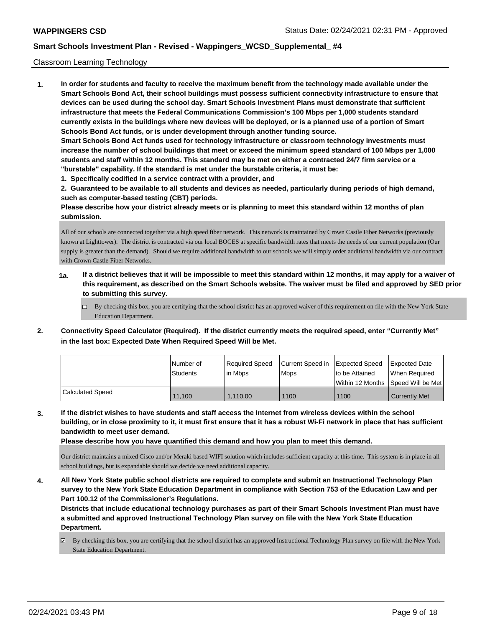#### Classroom Learning Technology

**1. In order for students and faculty to receive the maximum benefit from the technology made available under the Smart Schools Bond Act, their school buildings must possess sufficient connectivity infrastructure to ensure that devices can be used during the school day. Smart Schools Investment Plans must demonstrate that sufficient infrastructure that meets the Federal Communications Commission's 100 Mbps per 1,000 students standard currently exists in the buildings where new devices will be deployed, or is a planned use of a portion of Smart Schools Bond Act funds, or is under development through another funding source. Smart Schools Bond Act funds used for technology infrastructure or classroom technology investments must increase the number of school buildings that meet or exceed the minimum speed standard of 100 Mbps per 1,000 students and staff within 12 months. This standard may be met on either a contracted 24/7 firm service or a "burstable" capability. If the standard is met under the burstable criteria, it must be:**

**1. Specifically codified in a service contract with a provider, and**

**2. Guaranteed to be available to all students and devices as needed, particularly during periods of high demand, such as computer-based testing (CBT) periods.**

**Please describe how your district already meets or is planning to meet this standard within 12 months of plan submission.**

All of our schools are connected together via a high speed fiber network. This network is maintained by Crown Castle Fiber Networks (previously known at Lighttower). The district is contracted via our local BOCES at specific bandwidth rates that meets the needs of our current population (Our supply is greater than the demand). Should we require additional bandwidth to our schools we will simply order additional bandwidth via our contract with Crown Castle Fiber Networks.

- **1a. If a district believes that it will be impossible to meet this standard within 12 months, it may apply for a waiver of this requirement, as described on the Smart Schools website. The waiver must be filed and approved by SED prior to submitting this survey.**
	- By checking this box, you are certifying that the school district has an approved waiver of this requirement on file with the New York State Education Department.
- **2. Connectivity Speed Calculator (Required). If the district currently meets the required speed, enter "Currently Met" in the last box: Expected Date When Required Speed Will be Met.**

|                         | l Number of<br>Students | Reauired Speed<br>l in Mbps | Current Speed in<br><b>Mbps</b> | Expected Speed<br>to be Attained<br>l Within 12 Months ISpeed Will be Met l | Expected Date<br>When Required |
|-------------------------|-------------------------|-----------------------------|---------------------------------|-----------------------------------------------------------------------------|--------------------------------|
| <b>Calculated Speed</b> | 11.100                  | 1.110.00                    | 1100                            | 1100                                                                        | <b>Currently Met</b>           |

**3. If the district wishes to have students and staff access the Internet from wireless devices within the school building, or in close proximity to it, it must first ensure that it has a robust Wi-Fi network in place that has sufficient bandwidth to meet user demand.**

**Please describe how you have quantified this demand and how you plan to meet this demand.**

Our district maintains a mixed Cisco and/or Meraki based WIFI solution which includes sufficient capacity at this time. This system is in place in all school buildings, but is expandable should we decide we need additional capacity.

**4. All New York State public school districts are required to complete and submit an Instructional Technology Plan survey to the New York State Education Department in compliance with Section 753 of the Education Law and per Part 100.12 of the Commissioner's Regulations.**

**Districts that include educational technology purchases as part of their Smart Schools Investment Plan must have a submitted and approved Instructional Technology Plan survey on file with the New York State Education Department.**

By checking this box, you are certifying that the school district has an approved Instructional Technology Plan survey on file with the New York State Education Department.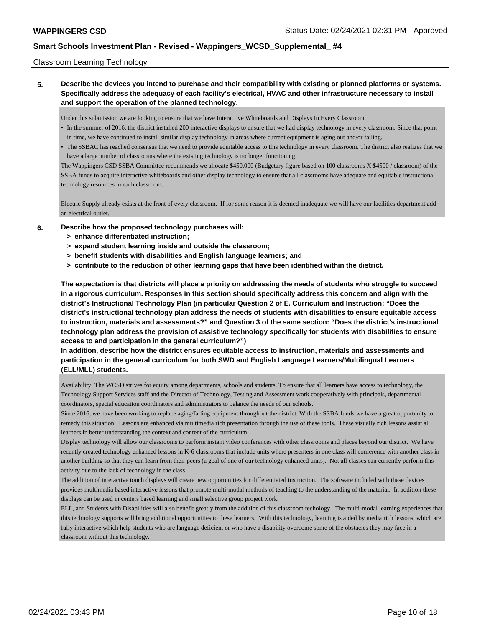#### Classroom Learning Technology

**5. Describe the devices you intend to purchase and their compatibility with existing or planned platforms or systems. Specifically address the adequacy of each facility's electrical, HVAC and other infrastructure necessary to install and support the operation of the planned technology.**

Under this submission we are looking to ensure that we have Interactive Whiteboards and Displays In Every Classroom

- In the summer of 2016, the district installed 200 interactive displays to ensure that we had display technology in every classroom. Since that point in time, we have continued to install similar display technology in areas where current equipment is aging out and/or failing.
- The SSBAC has reached consensus that we need to provide equitable access to this technology in every classroom. The district also realizes that we have a large number of classrooms where the existing technology is no longer functioning.

The Wappingers CSD SSBA Committee recommends we allocate \$450,000 (Budgetary figure based on 100 classrooms X \$4500 / classroom) of the SSBA funds to acquire interactive whiteboards and other display technology to ensure that all classrooms have adequate and equitable instructional technology resources in each classroom.

Electric Supply already exists at the front of every classroom. If for some reason it is deemed inadequate we will have our facilities department add an electrical outlet.

- **6. Describe how the proposed technology purchases will:**
	- **> enhance differentiated instruction;**
	- **> expand student learning inside and outside the classroom;**
	- **> benefit students with disabilities and English language learners; and**
	- **> contribute to the reduction of other learning gaps that have been identified within the district.**

**The expectation is that districts will place a priority on addressing the needs of students who struggle to succeed in a rigorous curriculum. Responses in this section should specifically address this concern and align with the district's Instructional Technology Plan (in particular Question 2 of E. Curriculum and Instruction: "Does the district's instructional technology plan address the needs of students with disabilities to ensure equitable access to instruction, materials and assessments?" and Question 3 of the same section: "Does the district's instructional technology plan address the provision of assistive technology specifically for students with disabilities to ensure access to and participation in the general curriculum?")**

**In addition, describe how the district ensures equitable access to instruction, materials and assessments and participation in the general curriculum for both SWD and English Language Learners/Multilingual Learners (ELL/MLL) students.**

Availability: The WCSD strives for equity among departments, schools and students. To ensure that all learners have access to technology, the Technology Support Services staff and the Director of Technology, Testing and Assessment work cooperatively with principals, departmental coordinators, special education coordinators and administrators to balance the needs of our schools.

Since 2016, we have been working to replace aging/failing equipment throughout the district. With the SSBA funds we have a great opportunity to remedy this situation. Lessons are enhanced via multimedia rich presentation through the use of these tools. These visually rich lessons assist all learners in better understanding the context and content of the curriculum.

Display technology will allow our classrooms to perform instant video conferences with other classrooms and places beyond our district. We have recently created technology enhanced lessons in K-6 classrooms that include units where presenters in one class will conference with another class in another building so that they can learn from their peers (a goal of one of our technology enhanced units). Not all classes can currently perform this activity due to the lack of technology in the class.

The addition of interactive touch displays will create new opportunities for differentiated instruction. The software included with these devices provides multimedia based interactive lessons that promote multi-modal methods of teaching to the understanding of the material. In addition these displays can be used in centers based learning and small selective group project work.

ELL, and Students with Disabilities will also benefit greatly from the addition of this classroom techology. The multi-modal learning experiences that this technology supports will bring additional opportunities to these learners. With this technology, learning is aided by media rich lessons, which are fully interactive which help students who are language deficient or who have a disability overcome some of the obstacles they may face in a classroom without this technology.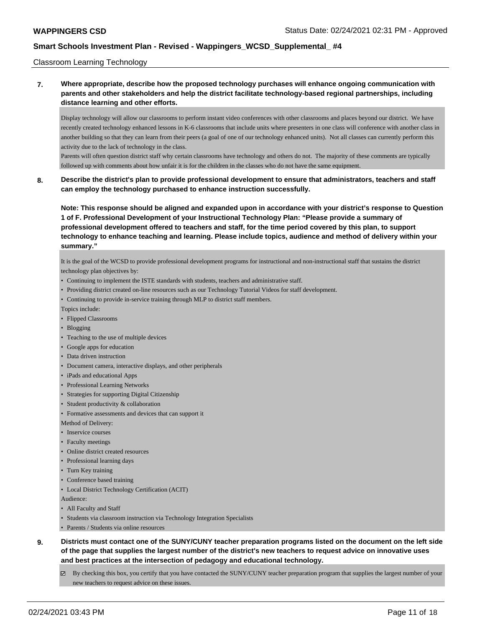#### Classroom Learning Technology

**7. Where appropriate, describe how the proposed technology purchases will enhance ongoing communication with parents and other stakeholders and help the district facilitate technology-based regional partnerships, including distance learning and other efforts.**

Display technology will allow our classrooms to perform instant video conferences with other classrooms and places beyond our district. We have recently created technology enhanced lessons in K-6 classrooms that include units where presenters in one class will conference with another class in another building so that they can learn from their peers (a goal of one of our technology enhanced units). Not all classes can currently perform this activity due to the lack of technology in the class.

Parents will often question district staff why certain classrooms have technology and others do not. The majority of these comments are typically followed up with comments about how unfair it is for the children in the classes who do not have the same equipment.

### **8. Describe the district's plan to provide professional development to ensure that administrators, teachers and staff can employ the technology purchased to enhance instruction successfully.**

**Note: This response should be aligned and expanded upon in accordance with your district's response to Question 1 of F. Professional Development of your Instructional Technology Plan: "Please provide a summary of professional development offered to teachers and staff, for the time period covered by this plan, to support technology to enhance teaching and learning. Please include topics, audience and method of delivery within your summary."**

It is the goal of the WCSD to provide professional development programs for instructional and non-instructional staff that sustains the district technology plan objectives by:

- Continuing to implement the ISTE standards with students, teachers and administrative staff.
- Providing district created on-line resources such as our Technology Tutorial Videos for staff development.
- Continuing to provide in-service training through MLP to district staff members.

Topics include:

- Flipped Classrooms
- Blogging
- Teaching to the use of multiple devices
- Google apps for education
- Data driven instruction
- Document camera, interactive displays, and other peripherals
- iPads and educational Apps
- Professional Learning Networks
- Strategies for supporting Digital Citizenship
- Student productivity & collaboration
- Formative assessments and devices that can support it

Method of Delivery:

- Inservice courses
- Faculty meetings
- Online district created resources
- Professional learning days
- Turn Key training
- Conference based training
- Local District Technology Certification (ACIT)

Audience:

- All Faculty and Staff
- Students via classroom instruction via Technology Integration Specialists
- Parents / Students via online resources
- **9. Districts must contact one of the SUNY/CUNY teacher preparation programs listed on the document on the left side of the page that supplies the largest number of the district's new teachers to request advice on innovative uses and best practices at the intersection of pedagogy and educational technology.**
	- $\boxtimes$  By checking this box, you certify that you have contacted the SUNY/CUNY teacher preparation program that supplies the largest number of your new teachers to request advice on these issues.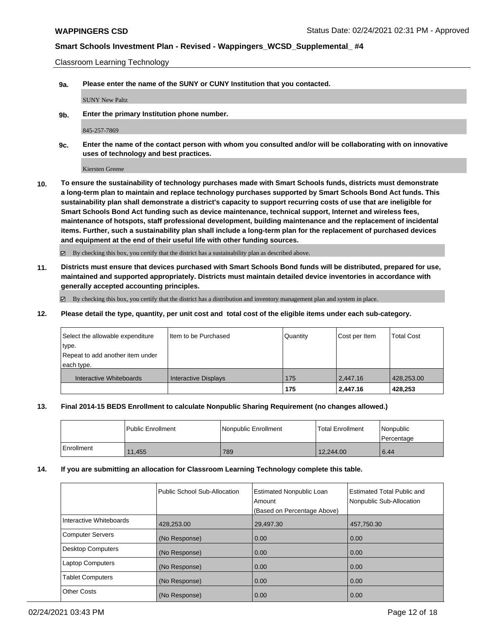Classroom Learning Technology

**9a. Please enter the name of the SUNY or CUNY Institution that you contacted.**

SUNY New Paltz

**9b. Enter the primary Institution phone number.**

845-257-7869

**9c. Enter the name of the contact person with whom you consulted and/or will be collaborating with on innovative uses of technology and best practices.**

Kiersten Greene

**10. To ensure the sustainability of technology purchases made with Smart Schools funds, districts must demonstrate a long-term plan to maintain and replace technology purchases supported by Smart Schools Bond Act funds. This sustainability plan shall demonstrate a district's capacity to support recurring costs of use that are ineligible for Smart Schools Bond Act funding such as device maintenance, technical support, Internet and wireless fees, maintenance of hotspots, staff professional development, building maintenance and the replacement of incidental items. Further, such a sustainability plan shall include a long-term plan for the replacement of purchased devices and equipment at the end of their useful life with other funding sources.**

By checking this box, you certify that the district has a sustainability plan as described above.

**11. Districts must ensure that devices purchased with Smart Schools Bond funds will be distributed, prepared for use, maintained and supported appropriately. Districts must maintain detailed device inventories in accordance with generally accepted accounting principles.**

 $\boxtimes$  By checking this box, you certify that the district has a distribution and inventory management plan and system in place.

**12. Please detail the type, quantity, per unit cost and total cost of the eligible items under each sub-category.**

| Select the allowable expenditure<br>type.<br>Repeat to add another item under<br>each type. | I Item to be Purchased      | Quantity | Cost per Item | <b>Total Cost</b> |
|---------------------------------------------------------------------------------------------|-----------------------------|----------|---------------|-------------------|
| Interactive Whiteboards                                                                     | <b>Interactive Displays</b> | 175      | 2,447.16      | 428,253.00        |
|                                                                                             |                             | 175      | 2,447.16      | 428.253           |

#### **13. Final 2014-15 BEDS Enrollment to calculate Nonpublic Sharing Requirement (no changes allowed.)**

|            | l Public Enrollment | l Nonpublic Enrollment | <b>Total Enrollment</b> | Nonpublic<br>l Percentage |
|------------|---------------------|------------------------|-------------------------|---------------------------|
| Enrollment | 11,455              | 789                    | 12,244.00               | 6.44                      |

#### **14. If you are submitting an allocation for Classroom Learning Technology complete this table.**

|                          | Public School Sub-Allocation | <b>Estimated Nonpublic Loan</b><br>Amount<br>(Based on Percentage Above) | <b>Estimated Total Public and</b><br>Nonpublic Sub-Allocation |
|--------------------------|------------------------------|--------------------------------------------------------------------------|---------------------------------------------------------------|
| Interactive Whiteboards  | 428,253.00                   | 29,497.30                                                                | 457,750.30                                                    |
| Computer Servers         | (No Response)                | 0.00                                                                     | 0.00                                                          |
| <b>Desktop Computers</b> | (No Response)                | 0.00                                                                     | 0.00                                                          |
| <b>Laptop Computers</b>  | (No Response)                | 0.00                                                                     | 0.00                                                          |
| <b>Tablet Computers</b>  | (No Response)                | 0.00                                                                     | 0.00                                                          |
| <b>Other Costs</b>       | (No Response)                | 0.00                                                                     | 0.00                                                          |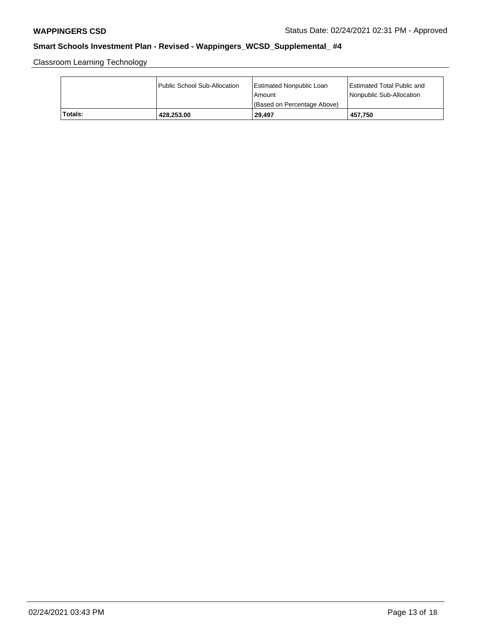Classroom Learning Technology

|         | Public School Sub-Allocation | <b>Estimated Nonpublic Loan</b><br>l Amount<br>(Based on Percentage Above) | <b>Estimated Total Public and</b><br>Nonpublic Sub-Allocation |
|---------|------------------------------|----------------------------------------------------------------------------|---------------------------------------------------------------|
| Totals: | 428.253.00                   | 29.497                                                                     | 457.750                                                       |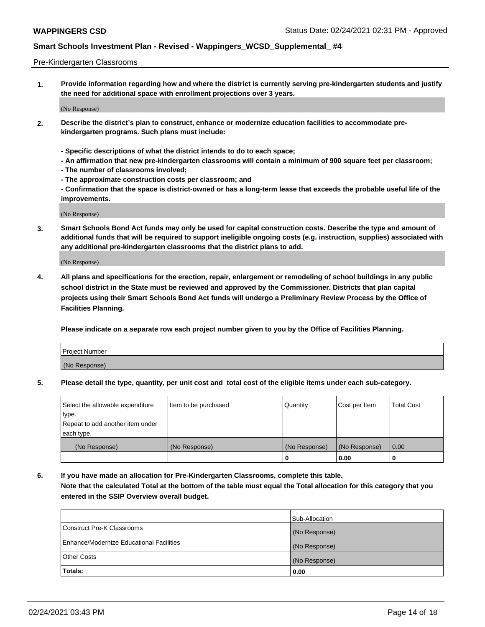#### Pre-Kindergarten Classrooms

**1. Provide information regarding how and where the district is currently serving pre-kindergarten students and justify the need for additional space with enrollment projections over 3 years.**

(No Response)

- **2. Describe the district's plan to construct, enhance or modernize education facilities to accommodate prekindergarten programs. Such plans must include:**
	- **Specific descriptions of what the district intends to do to each space;**
	- **An affirmation that new pre-kindergarten classrooms will contain a minimum of 900 square feet per classroom;**
	- **The number of classrooms involved;**
	- **The approximate construction costs per classroom; and**
	- **Confirmation that the space is district-owned or has a long-term lease that exceeds the probable useful life of the improvements.**

(No Response)

**3. Smart Schools Bond Act funds may only be used for capital construction costs. Describe the type and amount of additional funds that will be required to support ineligible ongoing costs (e.g. instruction, supplies) associated with any additional pre-kindergarten classrooms that the district plans to add.**

(No Response)

**4. All plans and specifications for the erection, repair, enlargement or remodeling of school buildings in any public school district in the State must be reviewed and approved by the Commissioner. Districts that plan capital projects using their Smart Schools Bond Act funds will undergo a Preliminary Review Process by the Office of Facilities Planning.**

**Please indicate on a separate row each project number given to you by the Office of Facilities Planning.**

| Project Number |  |
|----------------|--|
| (No Response)  |  |
|                |  |

**5. Please detail the type, quantity, per unit cost and total cost of the eligible items under each sub-category.**

| Select the allowable expenditure | Item to be purchased | Quantity      | Cost per Item | <b>Total Cost</b> |
|----------------------------------|----------------------|---------------|---------------|-------------------|
| type.                            |                      |               |               |                   |
| Repeat to add another item under |                      |               |               |                   |
| each type.                       |                      |               |               |                   |
| (No Response)                    | (No Response)        | (No Response) | (No Response) | 0.00              |
|                                  |                      | υ             | 0.00          |                   |

**6. If you have made an allocation for Pre-Kindergarten Classrooms, complete this table. Note that the calculated Total at the bottom of the table must equal the Total allocation for this category that you entered in the SSIP Overview overall budget.**

|                                          | Sub-Allocation |
|------------------------------------------|----------------|
| Construct Pre-K Classrooms               | (No Response)  |
| Enhance/Modernize Educational Facilities | (No Response)  |
| <b>Other Costs</b>                       | (No Response)  |
| Totals:                                  | 0.00           |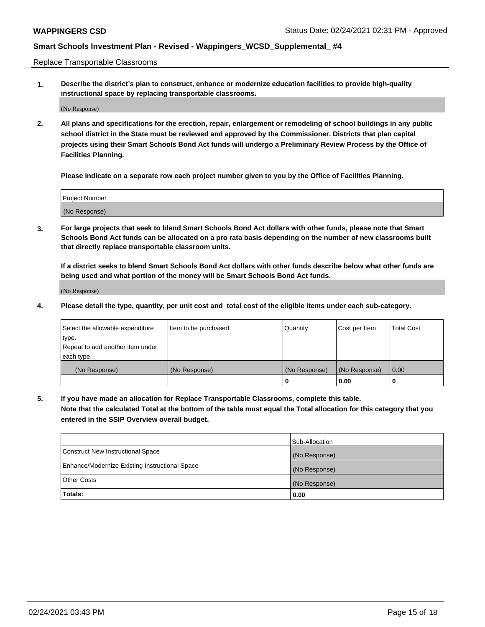Replace Transportable Classrooms

**1. Describe the district's plan to construct, enhance or modernize education facilities to provide high-quality instructional space by replacing transportable classrooms.**

(No Response)

**2. All plans and specifications for the erection, repair, enlargement or remodeling of school buildings in any public school district in the State must be reviewed and approved by the Commissioner. Districts that plan capital projects using their Smart Schools Bond Act funds will undergo a Preliminary Review Process by the Office of Facilities Planning.**

**Please indicate on a separate row each project number given to you by the Office of Facilities Planning.**

| Project Number |  |
|----------------|--|
|                |  |
|                |  |
|                |  |
|                |  |
| (No Response)  |  |
|                |  |
|                |  |
|                |  |

**3. For large projects that seek to blend Smart Schools Bond Act dollars with other funds, please note that Smart Schools Bond Act funds can be allocated on a pro rata basis depending on the number of new classrooms built that directly replace transportable classroom units.**

**If a district seeks to blend Smart Schools Bond Act dollars with other funds describe below what other funds are being used and what portion of the money will be Smart Schools Bond Act funds.**

(No Response)

**4. Please detail the type, quantity, per unit cost and total cost of the eligible items under each sub-category.**

| Select the allowable expenditure | Item to be purchased | Quantity      | Cost per Item | Total Cost |
|----------------------------------|----------------------|---------------|---------------|------------|
| ∣type.                           |                      |               |               |            |
| Repeat to add another item under |                      |               |               |            |
| each type.                       |                      |               |               |            |
| (No Response)                    | (No Response)        | (No Response) | (No Response) | 0.00       |
|                                  |                      | u             | 0.00          |            |

**5. If you have made an allocation for Replace Transportable Classrooms, complete this table. Note that the calculated Total at the bottom of the table must equal the Total allocation for this category that you entered in the SSIP Overview overall budget.**

|                                                | Sub-Allocation |
|------------------------------------------------|----------------|
| Construct New Instructional Space              | (No Response)  |
| Enhance/Modernize Existing Instructional Space | (No Response)  |
| Other Costs                                    | (No Response)  |
| Totals:                                        | 0.00           |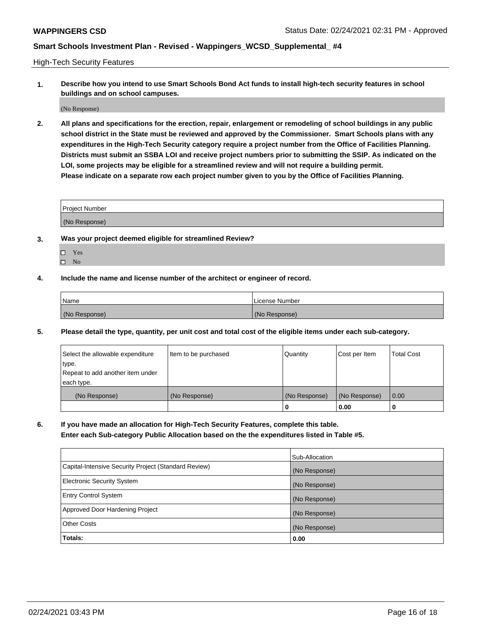High-Tech Security Features

**1. Describe how you intend to use Smart Schools Bond Act funds to install high-tech security features in school buildings and on school campuses.**

(No Response)

**2. All plans and specifications for the erection, repair, enlargement or remodeling of school buildings in any public school district in the State must be reviewed and approved by the Commissioner. Smart Schools plans with any expenditures in the High-Tech Security category require a project number from the Office of Facilities Planning. Districts must submit an SSBA LOI and receive project numbers prior to submitting the SSIP. As indicated on the LOI, some projects may be eligible for a streamlined review and will not require a building permit. Please indicate on a separate row each project number given to you by the Office of Facilities Planning.**

| <b>Project Number</b> |  |
|-----------------------|--|
| (No Response)         |  |

- **3. Was your project deemed eligible for streamlined Review?**
	- Yes
	- $\hfill \square$  No
- **4. Include the name and license number of the architect or engineer of record.**

| Name          | License Number |
|---------------|----------------|
| (No Response) | (No Response)  |

**5. Please detail the type, quantity, per unit cost and total cost of the eligible items under each sub-category.**

| Select the allowable expenditure | Item to be purchased | Quantity      | Cost per Item | <b>Total Cost</b> |
|----------------------------------|----------------------|---------------|---------------|-------------------|
| type.                            |                      |               |               |                   |
| Repeat to add another item under |                      |               |               |                   |
| each type.                       |                      |               |               |                   |
| (No Response)                    | (No Response)        | (No Response) | (No Response) | 0.00              |
|                                  |                      | 0             | 0.00          |                   |

**6. If you have made an allocation for High-Tech Security Features, complete this table.**

**Enter each Sub-category Public Allocation based on the the expenditures listed in Table #5.**

|                                                      | Sub-Allocation |
|------------------------------------------------------|----------------|
| Capital-Intensive Security Project (Standard Review) | (No Response)  |
| Electronic Security System                           | (No Response)  |
| <b>Entry Control System</b>                          | (No Response)  |
| Approved Door Hardening Project                      | (No Response)  |
| <b>Other Costs</b>                                   | (No Response)  |
| Totals:                                              | 0.00           |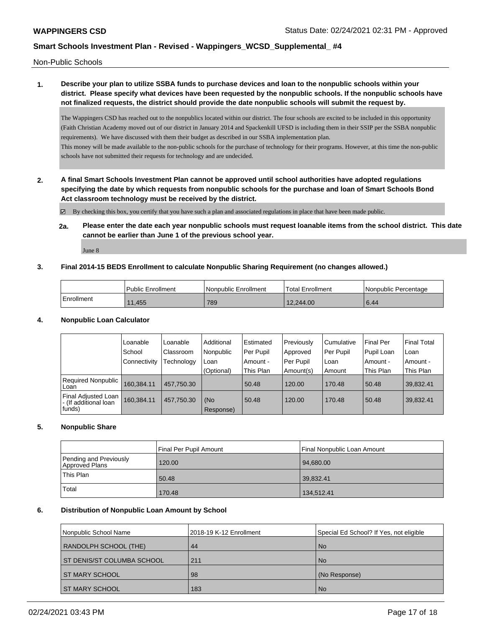Non-Public Schools

### **1. Describe your plan to utilize SSBA funds to purchase devices and loan to the nonpublic schools within your district. Please specify what devices have been requested by the nonpublic schools. If the nonpublic schools have not finalized requests, the district should provide the date nonpublic schools will submit the request by.**

The Wappingers CSD has reached out to the nonpublics located within our district. The four schools are excited to be included in this opportunity (Faith Christian Academy moved out of our district in January 2014 and Spackenkill UFSD is including them in their SSIP per the SSBA nonpublic requirements). We have discussed with them their budget as described in our SSBA implementation plan. This money will be made available to the non-public schools for the purchase of technology for their programs. However, at this time the non-public

schools have not submitted their requests for technology and are undecided.

**2. A final Smart Schools Investment Plan cannot be approved until school authorities have adopted regulations specifying the date by which requests from nonpublic schools for the purchase and loan of Smart Schools Bond Act classroom technology must be received by the district.**

By checking this box, you certify that you have such a plan and associated regulations in place that have been made public.

**2a. Please enter the date each year nonpublic schools must request loanable items from the school district. This date cannot be earlier than June 1 of the previous school year.**

June 8

### **3. Final 2014-15 BEDS Enrollment to calculate Nonpublic Sharing Requirement (no changes allowed.)**

|            | <b>Public Enrollment</b> | Nonpublic Enrollment | Total Enrollment | l Nonpublic Percentage |
|------------|--------------------------|----------------------|------------------|------------------------|
| Enrollment | 1.455                    | 789                  | 12,244.00        | 6.44                   |

### **4. Nonpublic Loan Calculator**

|                                                        | Loanable     | Loanable   | Additional       | Estimated | Previously | Cumulative | <b>Final Per</b> | <b>Final Total</b> |
|--------------------------------------------------------|--------------|------------|------------------|-----------|------------|------------|------------------|--------------------|
|                                                        | School       | Classroom  | Nonpublic        | Per Pupil | Approved   | Per Pupil  | Pupil Loan       | l Loan             |
|                                                        | Connectivity | Technology | Loan             | Amount -  | Per Pupil  | Loan       | Amount -         | l Amount -         |
|                                                        |              |            | (Optional)       | This Plan | Amount(s)  | Amount     | This Plan        | This Plan          |
| Required Nonpublic<br>Loan                             | 160.384.11   | 457.750.30 |                  | 50.48     | 120.00     | 170.48     | 50.48            | 39,832.41          |
| Final Adjusted Loan<br>- (If additional loan<br>funds) | 160.384.11   | 457.750.30 | (No<br>Response) | 50.48     | 120.00     | 170.48     | 50.48            | 39,832.41          |

### **5. Nonpublic Share**

|                                          | Final Per Pupil Amount | Final Nonpublic Loan Amount |
|------------------------------------------|------------------------|-----------------------------|
| Pending and Previously<br>Approved Plans | 120.00                 | 94,680.00                   |
| This Plan                                | 50.48                  | 39,832.41                   |
| Total                                    | 170.48                 | 134,512.41                  |

### **6. Distribution of Nonpublic Loan Amount by School**

| Nonpublic School Name        | 2018-19 K-12 Enrollment | Special Ed School? If Yes, not eligible |
|------------------------------|-------------------------|-----------------------------------------|
| RANDOLPH SCHOOL (THE)        | 44                      | <b>No</b>                               |
| I ST DENIS/ST COLUMBA SCHOOL | 211                     | <b>No</b>                               |
| <b>ST MARY SCHOOL</b>        | 98                      | (No Response)                           |
| <b>ST MARY SCHOOL</b>        | 183                     | <b>No</b>                               |